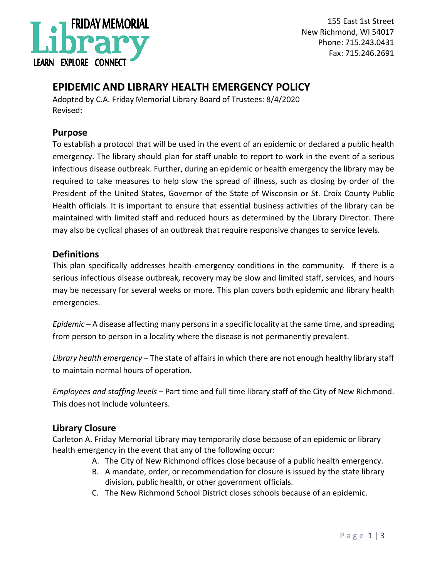

155 East 1st Street New Richmond, WI 54017 Phone: 715.243.0431 Fax: 715.246.2691

# **EPIDEMIC AND LIBRARY HEALTH EMERGENCY POLICY**

Adopted by C.A. Friday Memorial Library Board of Trustees: 8/4/2020 Revised:

### **Purpose**

To establish a protocol that will be used in the event of an epidemic or declared a public health emergency. The library should plan for staff unable to report to work in the event of a serious infectious disease outbreak. Further, during an epidemic or health emergency the library may be required to take measures to help slow the spread of illness, such as closing by order of the President of the United States, Governor of the State of Wisconsin or St. Croix County Public Health officials. It is important to ensure that essential business activities of the library can be maintained with limited staff and reduced hours as determined by the Library Director. There may also be cyclical phases of an outbreak that require responsive changes to service levels.

## **Definitions**

This plan specifically addresses health emergency conditions in the community. If there is a serious infectious disease outbreak, recovery may be slow and limited staff, services, and hours may be necessary for several weeks or more. This plan covers both epidemic and library health emergencies.

*Epidemic* – A disease affecting many persons in a specific locality at the same time, and spreading from person to person in a locality where the disease is not permanently prevalent.

*Library health emergency* – The state of affairs in which there are not enough healthy library staff to maintain normal hours of operation.

*Employees and staffing levels* – Part time and full time library staff of the City of New Richmond. This does not include volunteers.

#### **Library Closure**

Carleton A. Friday Memorial Library may temporarily close because of an epidemic or library health emergency in the event that any of the following occur:

- A. The City of New Richmond offices close because of a public health emergency.
- B. A mandate, order, or recommendation for closure is issued by the state library division, public health, or other government officials.
- C. The New Richmond School District closes schools because of an epidemic.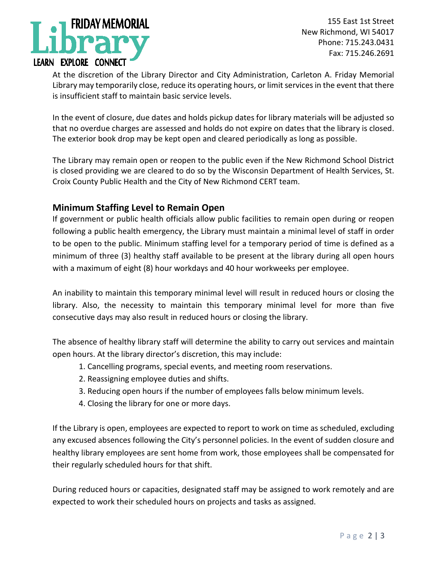

155 East 1st Street New Richmond, WI 54017 Phone: 715.243.0431 Fax: 715.246.2691

At the discretion of the Library Director and City Administration, Carleton A. Friday Memorial Library may temporarily close, reduce its operating hours, or limit services in the event that there is insufficient staff to maintain basic service levels.

In the event of closure, due dates and holds pickup dates for library materials will be adjusted so that no overdue charges are assessed and holds do not expire on dates that the library is closed. The exterior book drop may be kept open and cleared periodically as long as possible.

The Library may remain open or reopen to the public even if the New Richmond School District is closed providing we are cleared to do so by the Wisconsin Department of Health Services, St. Croix County Public Health and the City of New Richmond CERT team.

# **Minimum Staffing Level to Remain Open**

If government or public health officials allow public facilities to remain open during or reopen following a public health emergency, the Library must maintain a minimal level of staff in order to be open to the public. Minimum staffing level for a temporary period of time is defined as a minimum of three (3) healthy staff available to be present at the library during all open hours with a maximum of eight (8) hour workdays and 40 hour workweeks per employee.

An inability to maintain this temporary minimal level will result in reduced hours or closing the library. Also, the necessity to maintain this temporary minimal level for more than five consecutive days may also result in reduced hours or closing the library.

The absence of healthy library staff will determine the ability to carry out services and maintain open hours. At the library director's discretion, this may include:

- 1. Cancelling programs, special events, and meeting room reservations.
- 2. Reassigning employee duties and shifts.
- 3. Reducing open hours if the number of employees falls below minimum levels.
- 4. Closing the library for one or more days.

If the Library is open, employees are expected to report to work on time as scheduled, excluding any excused absences following the City's personnel policies. In the event of sudden closure and healthy library employees are sent home from work, those employees shall be compensated for their regularly scheduled hours for that shift.

During reduced hours or capacities, designated staff may be assigned to work remotely and are expected to work their scheduled hours on projects and tasks as assigned.